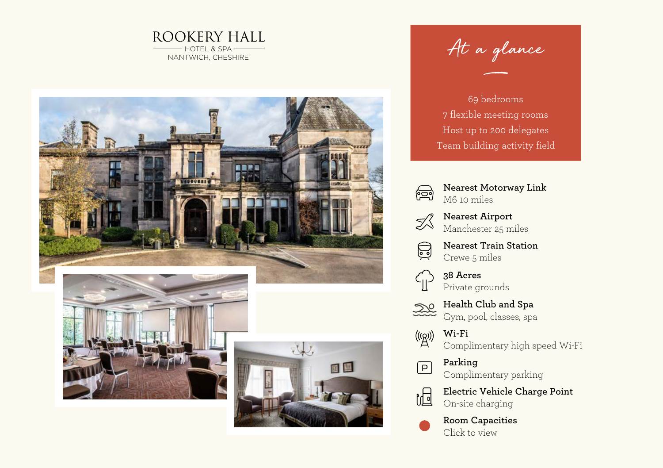



At a glance

69 bedrooms 7 flexible meeting rooms Host up to 200 delegates Team building activity field



 $\mathbb{Z}^2$ 

**Nearest Motorway Link** M6 10 miles

**Nearest Airport** Manchester 25 miles

**Nearest Train Station** Q Crewe 5 miles

> **38 Acres** Private grounds

**Health Club and Spa** Gym, pool, classes, spa

**Wi-Fi** Complimentary high speed Wi-Fi

> **Parking** Complimentary parking



 $\boxed{\mathsf{P}}$ 

**Electric Vehicle Charge Point** On-site charging

**Room Capacities** Click to view